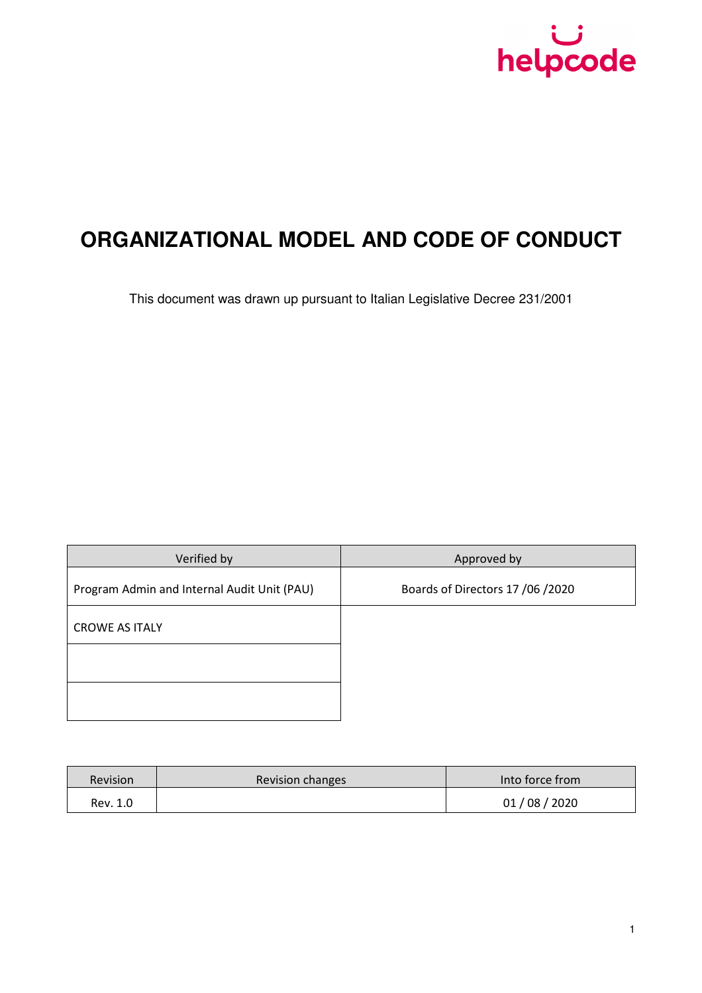

# **ORGANIZATIONAL MODEL AND CODE OF CONDUCT**

This document was drawn up pursuant to Italian Legislative Decree 231/2001

| Verified by                                 | Approved by                      |
|---------------------------------------------|----------------------------------|
| Program Admin and Internal Audit Unit (PAU) | Boards of Directors 17 /06 /2020 |
| <b>CROWE AS ITALY</b>                       |                                  |
|                                             |                                  |
|                                             |                                  |
|                                             |                                  |

| <b>Revision</b> | Revision changes | Into force from |
|-----------------|------------------|-----------------|
| Rev. 1.0        |                  | 01/08/2020      |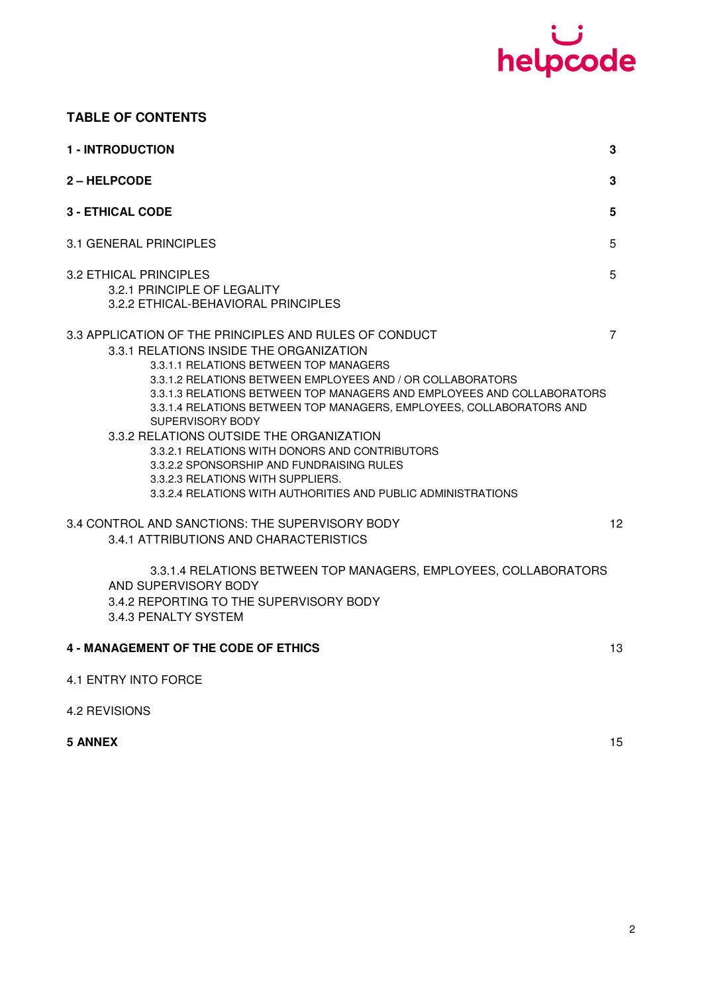

## **TABLE OF CONTENTS**

| <b>1 - INTRODUCTION</b>                                                                                                                                                                                                                                                                                                                                                                                                                                                                                                                                                                                                          | 3  |
|----------------------------------------------------------------------------------------------------------------------------------------------------------------------------------------------------------------------------------------------------------------------------------------------------------------------------------------------------------------------------------------------------------------------------------------------------------------------------------------------------------------------------------------------------------------------------------------------------------------------------------|----|
| 2 - HELPCODE                                                                                                                                                                                                                                                                                                                                                                                                                                                                                                                                                                                                                     | 3  |
| <b>3 - ETHICAL CODE</b>                                                                                                                                                                                                                                                                                                                                                                                                                                                                                                                                                                                                          | 5  |
| 3.1 GENERAL PRINCIPLES                                                                                                                                                                                                                                                                                                                                                                                                                                                                                                                                                                                                           | 5  |
| <b>3.2 ETHICAL PRINCIPLES</b><br>3.2.1 PRINCIPLE OF LEGALITY<br>3.2.2 ETHICAL-BEHAVIORAL PRINCIPLES                                                                                                                                                                                                                                                                                                                                                                                                                                                                                                                              | 5  |
| 3.3 APPLICATION OF THE PRINCIPLES AND RULES OF CONDUCT<br>3.3.1 RELATIONS INSIDE THE ORGANIZATION<br>3.3.1.1 RELATIONS BETWEEN TOP MANAGERS<br>3.3.1.2 RELATIONS BETWEEN EMPLOYEES AND / OR COLLABORATORS<br>3.3.1.3 RELATIONS BETWEEN TOP MANAGERS AND EMPLOYEES AND COLLABORATORS<br>3.3.1.4 RELATIONS BETWEEN TOP MANAGERS, EMPLOYEES, COLLABORATORS AND<br>SUPERVISORY BODY<br>3.3.2 RELATIONS OUTSIDE THE ORGANIZATION<br>3.3.2.1 RELATIONS WITH DONORS AND CONTRIBUTORS<br>3.3.2.2 SPONSORSHIP AND FUNDRAISING RULES<br>3.3.2.3 RELATIONS WITH SUPPLIERS.<br>3.3.2.4 RELATIONS WITH AUTHORITIES AND PUBLIC ADMINISTRATIONS | 7  |
| 3.4 CONTROL AND SANCTIONS: THE SUPERVISORY BODY<br>3.4.1 ATTRIBUTIONS AND CHARACTERISTICS<br>3.3.1.4 RELATIONS BETWEEN TOP MANAGERS, EMPLOYEES, COLLABORATORS<br>AND SUPERVISORY BODY<br>3.4.2 REPORTING TO THE SUPERVISORY BODY<br>3.4.3 PENALTY SYSTEM                                                                                                                                                                                                                                                                                                                                                                         | 12 |
| <b>4 - MANAGEMENT OF THE CODE OF ETHICS</b>                                                                                                                                                                                                                                                                                                                                                                                                                                                                                                                                                                                      | 13 |
| 4.1 ENTRY INTO FORCE                                                                                                                                                                                                                                                                                                                                                                                                                                                                                                                                                                                                             |    |
| 4.2 REVISIONS                                                                                                                                                                                                                                                                                                                                                                                                                                                                                                                                                                                                                    |    |
| <b>5 ANNEX</b>                                                                                                                                                                                                                                                                                                                                                                                                                                                                                                                                                                                                                   | 15 |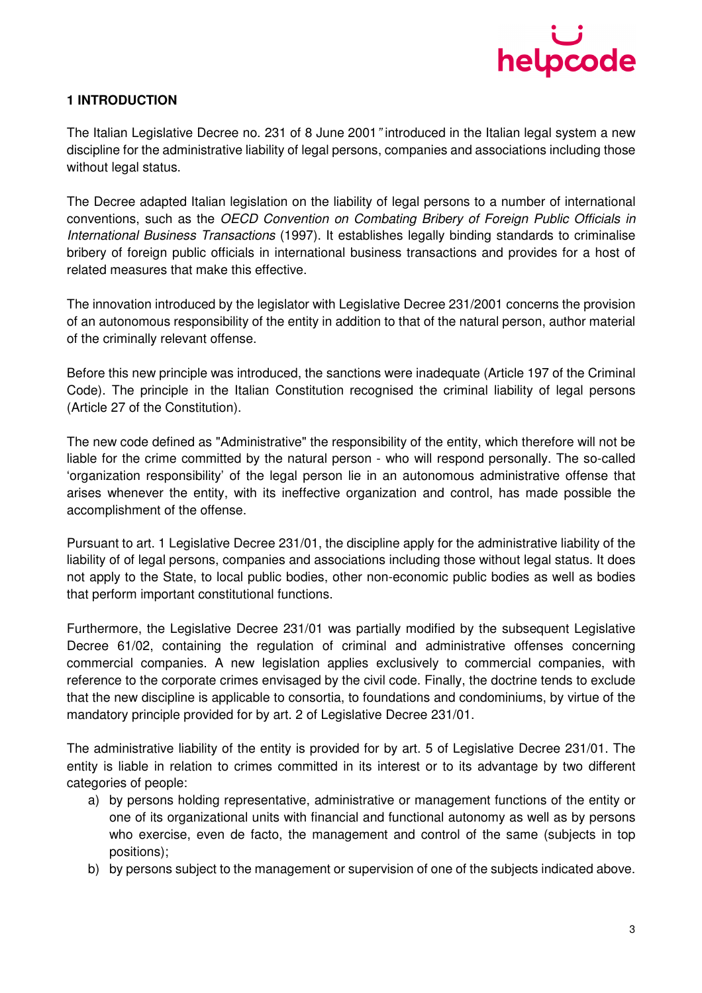

## **1 INTRODUCTION**

The Italian Legislative Decree no. 231 of 8 June 2001" introduced in the Italian legal system a new discipline for the administrative liability of legal persons, companies and associations including those without legal status.

The Decree adapted Italian legislation on the liability of legal persons to a number of international conventions, such as the OECD Convention on Combating Bribery of Foreign Public Officials in International Business Transactions (1997). It establishes legally binding standards to criminalise bribery of foreign public officials in international business transactions and provides for a host of related measures that make this effective.

The innovation introduced by the legislator with Legislative Decree 231/2001 concerns the provision of an autonomous responsibility of the entity in addition to that of the natural person, author material of the criminally relevant offense.

Before this new principle was introduced, the sanctions were inadequate (Article 197 of the Criminal Code). The principle in the Italian Constitution recognised the criminal liability of legal persons (Article 27 of the Constitution).

The new code defined as "Administrative" the responsibility of the entity, which therefore will not be liable for the crime committed by the natural person - who will respond personally. The so-called 'organization responsibility' of the legal person lie in an autonomous administrative offense that arises whenever the entity, with its ineffective organization and control, has made possible the accomplishment of the offense.

Pursuant to art. 1 Legislative Decree 231/01, the discipline apply for the administrative liability of the liability of of legal persons, companies and associations including those without legal status. It does not apply to the State, to local public bodies, other non-economic public bodies as well as bodies that perform important constitutional functions.

Furthermore, the Legislative Decree 231/01 was partially modified by the subsequent Legislative Decree 61/02, containing the regulation of criminal and administrative offenses concerning commercial companies. A new legislation applies exclusively to commercial companies, with reference to the corporate crimes envisaged by the civil code. Finally, the doctrine tends to exclude that the new discipline is applicable to consortia, to foundations and condominiums, by virtue of the mandatory principle provided for by art. 2 of Legislative Decree 231/01.

The administrative liability of the entity is provided for by art. 5 of Legislative Decree 231/01. The entity is liable in relation to crimes committed in its interest or to its advantage by two different categories of people:

- a) by persons holding representative, administrative or management functions of the entity or one of its organizational units with financial and functional autonomy as well as by persons who exercise, even de facto, the management and control of the same (subjects in top positions);
- b) by persons subject to the management or supervision of one of the subjects indicated above.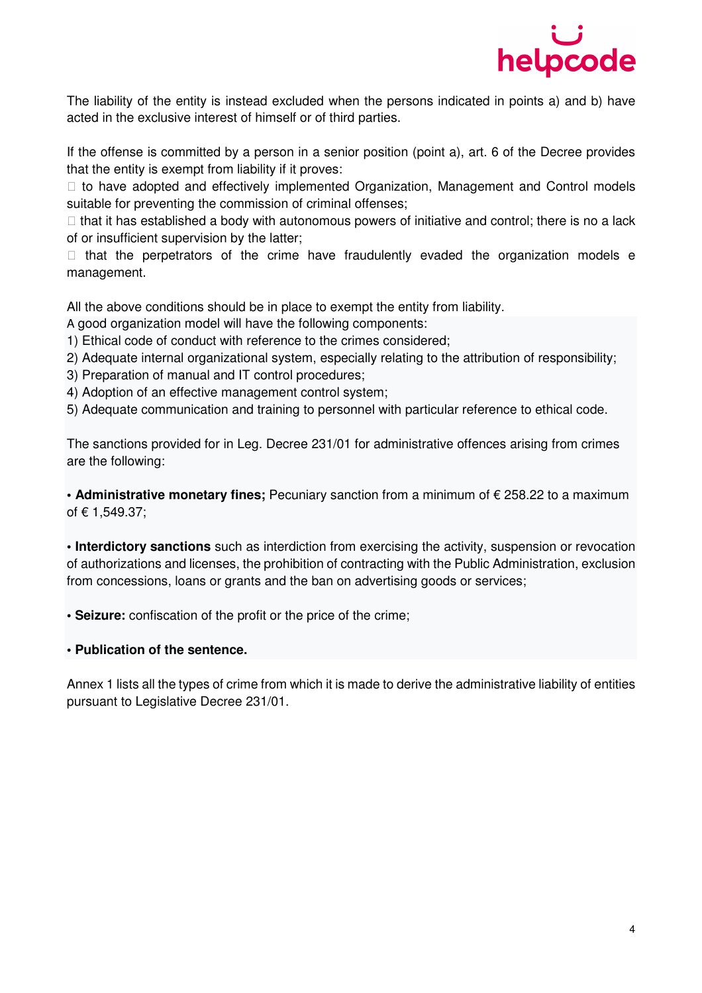

The liability of the entity is instead excluded when the persons indicated in points a) and b) have acted in the exclusive interest of himself or of third parties.

If the offense is committed by a person in a senior position (point a), art. 6 of the Decree provides that the entity is exempt from liability if it proves:

 to have adopted and effectively implemented Organization, Management and Control models suitable for preventing the commission of criminal offenses;

 that it has established a body with autonomous powers of initiative and control; there is no a lack of or insufficient supervision by the latter;

 that the perpetrators of the crime have fraudulently evaded the organization models e management.

All the above conditions should be in place to exempt the entity from liability.

A good organization model will have the following components:

1) Ethical code of conduct with reference to the crimes considered;

- 2) Adequate internal organizational system, especially relating to the attribution of responsibility;
- 3) Preparation of manual and IT control procedures;
- 4) Adoption of an effective management control system;
- 5) Adequate communication and training to personnel with particular reference to ethical code.

The sanctions provided for in Leg. Decree 231/01 for administrative offences arising from crimes are the following:

**• Administrative monetary fines;** Pecuniary sanction from a minimum of € 258.22 to a maximum of € 1,549.37;

**• Interdictory sanctions** such as interdiction from exercising the activity, suspension or revocation of authorizations and licenses, the prohibition of contracting with the Public Administration, exclusion from concessions, loans or grants and the ban on advertising goods or services;

**• Seizure:** confiscation of the profit or the price of the crime;

#### **• Publication of the sentence.**

Annex 1 lists all the types of crime from which it is made to derive the administrative liability of entities pursuant to Legislative Decree 231/01.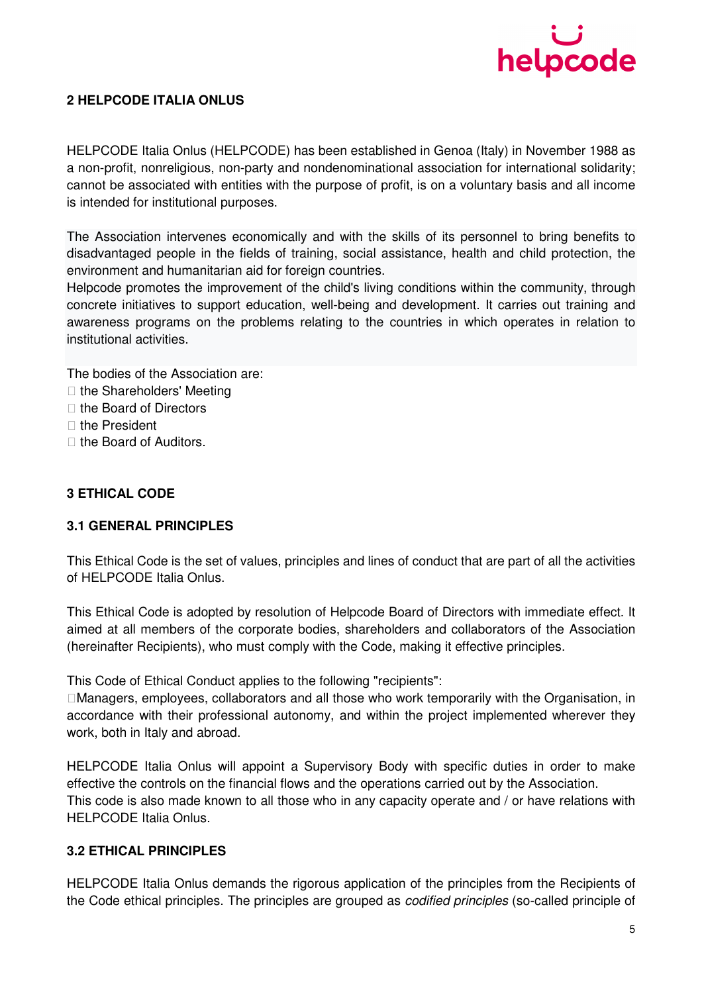

## **2 HELPCODE ITALIA ONLUS**

HELPCODE Italia Onlus (HELPCODE) has been established in Genoa (Italy) in November 1988 as a non-profit, nonreligious, non-party and nondenominational association for international solidarity; cannot be associated with entities with the purpose of profit, is on a voluntary basis and all income is intended for institutional purposes.

The Association intervenes economically and with the skills of its personnel to bring benefits to disadvantaged people in the fields of training, social assistance, health and child protection, the environment and humanitarian aid for foreign countries.

Helpcode promotes the improvement of the child's living conditions within the community, through concrete initiatives to support education, well-being and development. It carries out training and awareness programs on the problems relating to the countries in which operates in relation to institutional activities.

The bodies of the Association are: the Shareholders' Meeting the Board of Directors the President the Board of Auditors.

## **3 ETHICAL CODE**

#### **3.1 GENERAL PRINCIPLES**

This Ethical Code is the set of values, principles and lines of conduct that are part of all the activities of HELPCODE Italia Onlus.

This Ethical Code is adopted by resolution of Helpcode Board of Directors with immediate effect. It aimed at all members of the corporate bodies, shareholders and collaborators of the Association (hereinafter Recipients), who must comply with the Code, making it effective principles.

This Code of Ethical Conduct applies to the following "recipients":

Managers, employees, collaborators and all those who work temporarily with the Organisation, in accordance with their professional autonomy, and within the project implemented wherever they work, both in Italy and abroad.

HELPCODE Italia Onlus will appoint a Supervisory Body with specific duties in order to make effective the controls on the financial flows and the operations carried out by the Association. This code is also made known to all those who in any capacity operate and / or have relations with HELPCODE Italia Onlus.

## **3.2 ETHICAL PRINCIPLES**

HELPCODE Italia Onlus demands the rigorous application of the principles from the Recipients of the Code ethical principles. The principles are grouped as codified principles (so-called principle of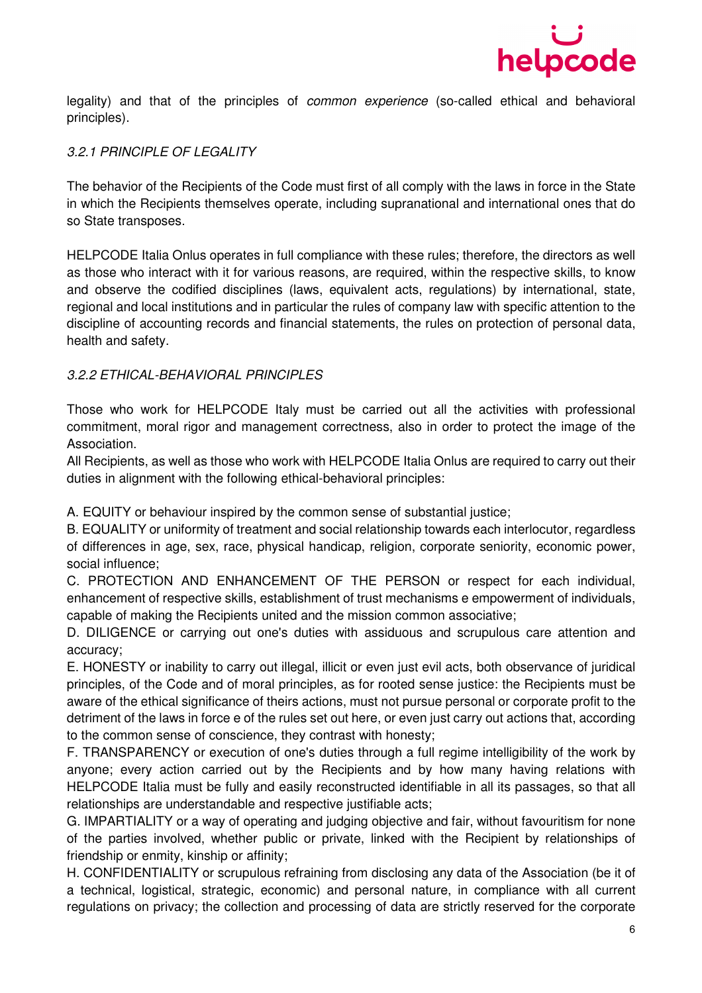

legality) and that of the principles of common experience (so-called ethical and behavioral principles).

## 3.2.1 PRINCIPLE OF LEGALITY

The behavior of the Recipients of the Code must first of all comply with the laws in force in the State in which the Recipients themselves operate, including supranational and international ones that do so State transposes.

HELPCODE Italia Onlus operates in full compliance with these rules; therefore, the directors as well as those who interact with it for various reasons, are required, within the respective skills, to know and observe the codified disciplines (laws, equivalent acts, regulations) by international, state, regional and local institutions and in particular the rules of company law with specific attention to the discipline of accounting records and financial statements, the rules on protection of personal data, health and safety.

#### 3.2.2 ETHICAL-BEHAVIORAL PRINCIPLES

Those who work for HELPCODE Italy must be carried out all the activities with professional commitment, moral rigor and management correctness, also in order to protect the image of the Association.

All Recipients, as well as those who work with HELPCODE Italia Onlus are required to carry out their duties in alignment with the following ethical-behavioral principles:

A. EQUITY or behaviour inspired by the common sense of substantial justice;

B. EQUALITY or uniformity of treatment and social relationship towards each interlocutor, regardless of differences in age, sex, race, physical handicap, religion, corporate seniority, economic power, social influence;

C. PROTECTION AND ENHANCEMENT OF THE PERSON or respect for each individual, enhancement of respective skills, establishment of trust mechanisms e empowerment of individuals, capable of making the Recipients united and the mission common associative;

D. DILIGENCE or carrying out one's duties with assiduous and scrupulous care attention and accuracy;

E. HONESTY or inability to carry out illegal, illicit or even just evil acts, both observance of juridical principles, of the Code and of moral principles, as for rooted sense justice: the Recipients must be aware of the ethical significance of theirs actions, must not pursue personal or corporate profit to the detriment of the laws in force e of the rules set out here, or even just carry out actions that, according to the common sense of conscience, they contrast with honesty;

F. TRANSPARENCY or execution of one's duties through a full regime intelligibility of the work by anyone; every action carried out by the Recipients and by how many having relations with HELPCODE Italia must be fully and easily reconstructed identifiable in all its passages, so that all relationships are understandable and respective justifiable acts;

G. IMPARTIALITY or a way of operating and judging objective and fair, without favouritism for none of the parties involved, whether public or private, linked with the Recipient by relationships of friendship or enmity, kinship or affinity;

H. CONFIDENTIALITY or scrupulous refraining from disclosing any data of the Association (be it of a technical, logistical, strategic, economic) and personal nature, in compliance with all current regulations on privacy; the collection and processing of data are strictly reserved for the corporate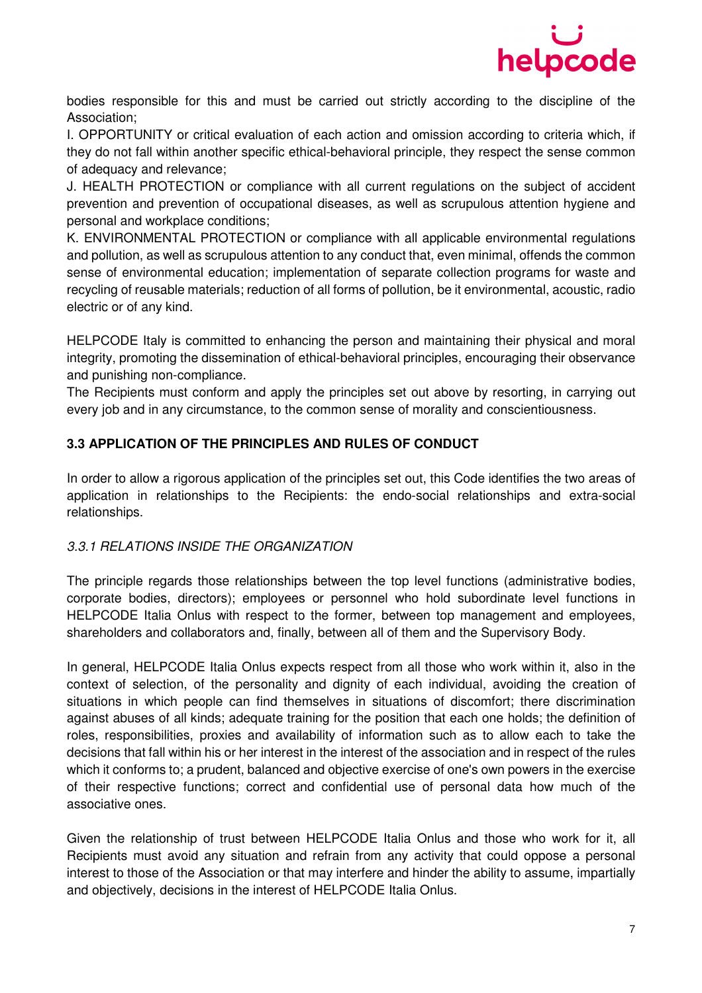

bodies responsible for this and must be carried out strictly according to the discipline of the Association;

I. OPPORTUNITY or critical evaluation of each action and omission according to criteria which, if they do not fall within another specific ethical-behavioral principle, they respect the sense common of adequacy and relevance;

J. HEALTH PROTECTION or compliance with all current regulations on the subject of accident prevention and prevention of occupational diseases, as well as scrupulous attention hygiene and personal and workplace conditions;

K. ENVIRONMENTAL PROTECTION or compliance with all applicable environmental regulations and pollution, as well as scrupulous attention to any conduct that, even minimal, offends the common sense of environmental education; implementation of separate collection programs for waste and recycling of reusable materials; reduction of all forms of pollution, be it environmental, acoustic, radio electric or of any kind.

HELPCODE Italy is committed to enhancing the person and maintaining their physical and moral integrity, promoting the dissemination of ethical-behavioral principles, encouraging their observance and punishing non-compliance.

The Recipients must conform and apply the principles set out above by resorting, in carrying out every job and in any circumstance, to the common sense of morality and conscientiousness.

## **3.3 APPLICATION OF THE PRINCIPLES AND RULES OF CONDUCT**

In order to allow a rigorous application of the principles set out, this Code identifies the two areas of application in relationships to the Recipients: the endo-social relationships and extra-social relationships.

## 3.3.1 RELATIONS INSIDE THE ORGANIZATION

The principle regards those relationships between the top level functions (administrative bodies, corporate bodies, directors); employees or personnel who hold subordinate level functions in HELPCODE Italia Onlus with respect to the former, between top management and employees, shareholders and collaborators and, finally, between all of them and the Supervisory Body.

In general, HELPCODE Italia Onlus expects respect from all those who work within it, also in the context of selection, of the personality and dignity of each individual, avoiding the creation of situations in which people can find themselves in situations of discomfort; there discrimination against abuses of all kinds; adequate training for the position that each one holds; the definition of roles, responsibilities, proxies and availability of information such as to allow each to take the decisions that fall within his or her interest in the interest of the association and in respect of the rules which it conforms to; a prudent, balanced and objective exercise of one's own powers in the exercise of their respective functions; correct and confidential use of personal data how much of the associative ones.

Given the relationship of trust between HELPCODE Italia Onlus and those who work for it, all Recipients must avoid any situation and refrain from any activity that could oppose a personal interest to those of the Association or that may interfere and hinder the ability to assume, impartially and objectively, decisions in the interest of HELPCODE Italia Onlus.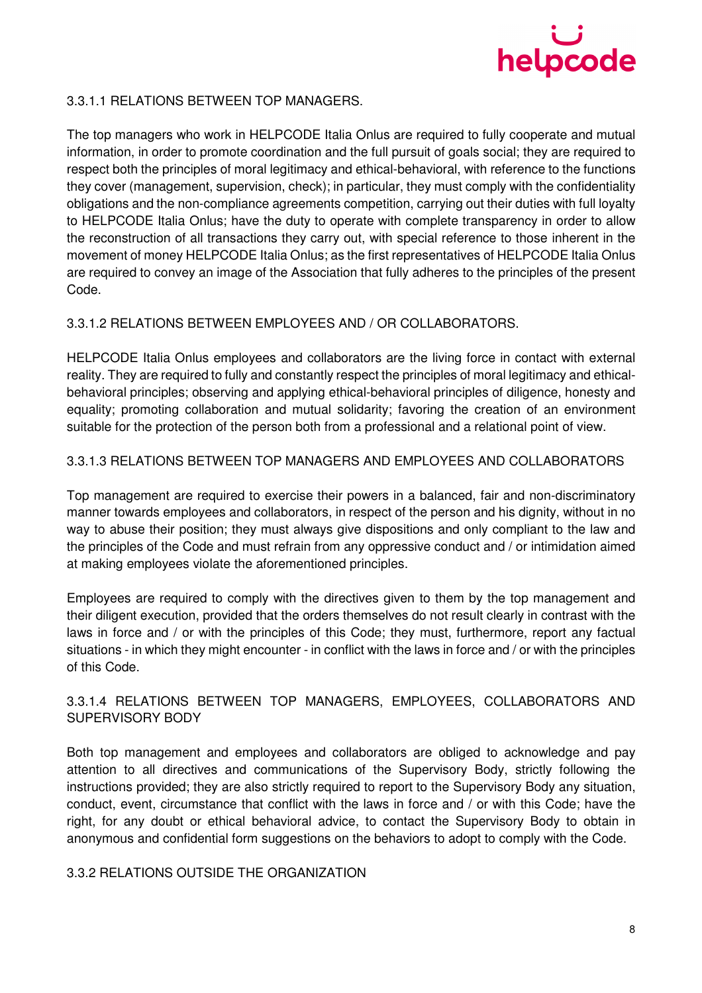

## 3.3.1.1 RELATIONS BETWEEN TOP MANAGERS.

The top managers who work in HELPCODE Italia Onlus are required to fully cooperate and mutual information, in order to promote coordination and the full pursuit of goals social; they are required to respect both the principles of moral legitimacy and ethical-behavioral, with reference to the functions they cover (management, supervision, check); in particular, they must comply with the confidentiality obligations and the non-compliance agreements competition, carrying out their duties with full loyalty to HELPCODE Italia Onlus; have the duty to operate with complete transparency in order to allow the reconstruction of all transactions they carry out, with special reference to those inherent in the movement of money HELPCODE Italia Onlus; as the first representatives of HELPCODE Italia Onlus are required to convey an image of the Association that fully adheres to the principles of the present Code.

## 3.3.1.2 RELATIONS BETWEEN EMPLOYEES AND / OR COLLABORATORS.

HELPCODE Italia Onlus employees and collaborators are the living force in contact with external reality. They are required to fully and constantly respect the principles of moral legitimacy and ethicalbehavioral principles; observing and applying ethical-behavioral principles of diligence, honesty and equality; promoting collaboration and mutual solidarity; favoring the creation of an environment suitable for the protection of the person both from a professional and a relational point of view.

## 3.3.1.3 RELATIONS BETWEEN TOP MANAGERS AND EMPLOYEES AND COLLABORATORS

Top management are required to exercise their powers in a balanced, fair and non-discriminatory manner towards employees and collaborators, in respect of the person and his dignity, without in no way to abuse their position; they must always give dispositions and only compliant to the law and the principles of the Code and must refrain from any oppressive conduct and / or intimidation aimed at making employees violate the aforementioned principles.

Employees are required to comply with the directives given to them by the top management and their diligent execution, provided that the orders themselves do not result clearly in contrast with the laws in force and / or with the principles of this Code; they must, furthermore, report any factual situations - in which they might encounter - in conflict with the laws in force and / or with the principles of this Code.

## 3.3.1.4 RELATIONS BETWEEN TOP MANAGERS, EMPLOYEES, COLLABORATORS AND SUPERVISORY BODY

Both top management and employees and collaborators are obliged to acknowledge and pay attention to all directives and communications of the Supervisory Body, strictly following the instructions provided; they are also strictly required to report to the Supervisory Body any situation, conduct, event, circumstance that conflict with the laws in force and / or with this Code; have the right, for any doubt or ethical behavioral advice, to contact the Supervisory Body to obtain in anonymous and confidential form suggestions on the behaviors to adopt to comply with the Code.

## 3.3.2 RELATIONS OUTSIDE THE ORGANIZATION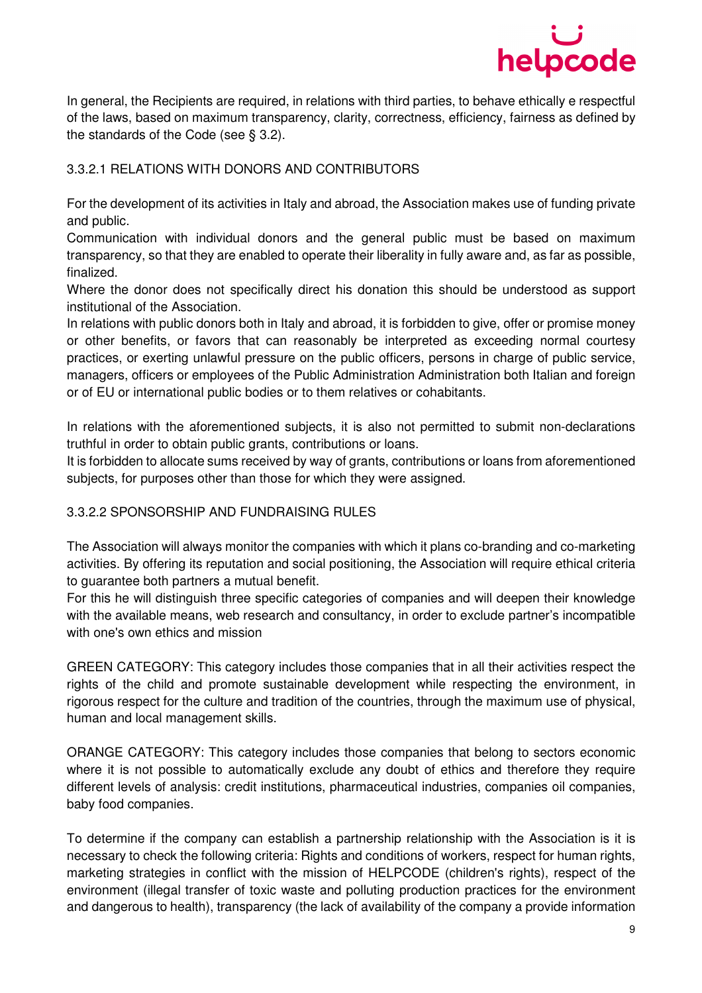

In general, the Recipients are required, in relations with third parties, to behave ethically e respectful of the laws, based on maximum transparency, clarity, correctness, efficiency, fairness as defined by the standards of the Code (see § 3.2).

## 3.3.2.1 RELATIONS WITH DONORS AND CONTRIBUTORS

For the development of its activities in Italy and abroad, the Association makes use of funding private and public.

Communication with individual donors and the general public must be based on maximum transparency, so that they are enabled to operate their liberality in fully aware and, as far as possible, finalized.

Where the donor does not specifically direct his donation this should be understood as support institutional of the Association.

In relations with public donors both in Italy and abroad, it is forbidden to give, offer or promise money or other benefits, or favors that can reasonably be interpreted as exceeding normal courtesy practices, or exerting unlawful pressure on the public officers, persons in charge of public service, managers, officers or employees of the Public Administration Administration both Italian and foreign or of EU or international public bodies or to them relatives or cohabitants.

In relations with the aforementioned subjects, it is also not permitted to submit non-declarations truthful in order to obtain public grants, contributions or loans.

It is forbidden to allocate sums received by way of grants, contributions or loans from aforementioned subjects, for purposes other than those for which they were assigned.

## 3.3.2.2 SPONSORSHIP AND FUNDRAISING RULES

The Association will always monitor the companies with which it plans co-branding and co-marketing activities. By offering its reputation and social positioning, the Association will require ethical criteria to guarantee both partners a mutual benefit.

For this he will distinguish three specific categories of companies and will deepen their knowledge with the available means, web research and consultancy, in order to exclude partner's incompatible with one's own ethics and mission

GREEN CATEGORY: This category includes those companies that in all their activities respect the rights of the child and promote sustainable development while respecting the environment, in rigorous respect for the culture and tradition of the countries, through the maximum use of physical, human and local management skills.

ORANGE CATEGORY: This category includes those companies that belong to sectors economic where it is not possible to automatically exclude any doubt of ethics and therefore they require different levels of analysis: credit institutions, pharmaceutical industries, companies oil companies, baby food companies.

To determine if the company can establish a partnership relationship with the Association is it is necessary to check the following criteria: Rights and conditions of workers, respect for human rights, marketing strategies in conflict with the mission of HELPCODE (children's rights), respect of the environment (illegal transfer of toxic waste and polluting production practices for the environment and dangerous to health), transparency (the lack of availability of the company a provide information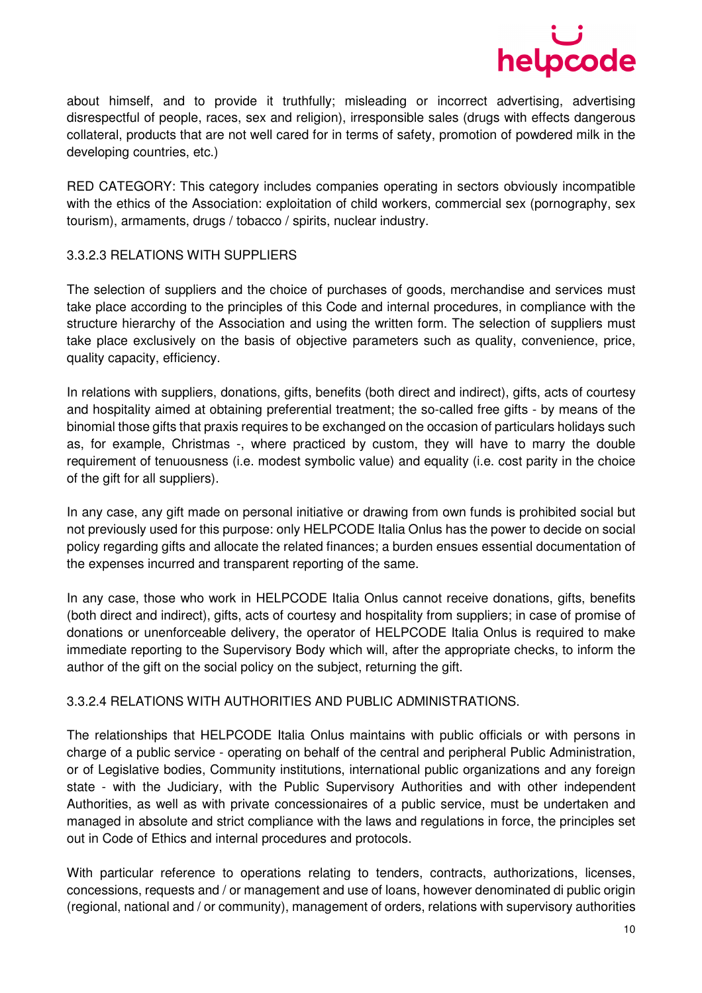

about himself, and to provide it truthfully; misleading or incorrect advertising, advertising disrespectful of people, races, sex and religion), irresponsible sales (drugs with effects dangerous collateral, products that are not well cared for in terms of safety, promotion of powdered milk in the developing countries, etc.)

RED CATEGORY: This category includes companies operating in sectors obviously incompatible with the ethics of the Association: exploitation of child workers, commercial sex (pornography, sex tourism), armaments, drugs / tobacco / spirits, nuclear industry.

### 3.3.2.3 RELATIONS WITH SUPPLIERS

The selection of suppliers and the choice of purchases of goods, merchandise and services must take place according to the principles of this Code and internal procedures, in compliance with the structure hierarchy of the Association and using the written form. The selection of suppliers must take place exclusively on the basis of objective parameters such as quality, convenience, price, quality capacity, efficiency.

In relations with suppliers, donations, gifts, benefits (both direct and indirect), gifts, acts of courtesy and hospitality aimed at obtaining preferential treatment; the so-called free gifts - by means of the binomial those gifts that praxis requires to be exchanged on the occasion of particulars holidays such as, for example, Christmas -, where practiced by custom, they will have to marry the double requirement of tenuousness (i.e. modest symbolic value) and equality (i.e. cost parity in the choice of the gift for all suppliers).

In any case, any gift made on personal initiative or drawing from own funds is prohibited social but not previously used for this purpose: only HELPCODE Italia Onlus has the power to decide on social policy regarding gifts and allocate the related finances; a burden ensues essential documentation of the expenses incurred and transparent reporting of the same.

In any case, those who work in HELPCODE Italia Onlus cannot receive donations, gifts, benefits (both direct and indirect), gifts, acts of courtesy and hospitality from suppliers; in case of promise of donations or unenforceable delivery, the operator of HELPCODE Italia Onlus is required to make immediate reporting to the Supervisory Body which will, after the appropriate checks, to inform the author of the gift on the social policy on the subject, returning the gift.

#### 3.3.2.4 RELATIONS WITH AUTHORITIES AND PUBLIC ADMINISTRATIONS.

The relationships that HELPCODE Italia Onlus maintains with public officials or with persons in charge of a public service - operating on behalf of the central and peripheral Public Administration, or of Legislative bodies, Community institutions, international public organizations and any foreign state - with the Judiciary, with the Public Supervisory Authorities and with other independent Authorities, as well as with private concessionaires of a public service, must be undertaken and managed in absolute and strict compliance with the laws and regulations in force, the principles set out in Code of Ethics and internal procedures and protocols.

With particular reference to operations relating to tenders, contracts, authorizations, licenses, concessions, requests and / or management and use of loans, however denominated di public origin (regional, national and / or community), management of orders, relations with supervisory authorities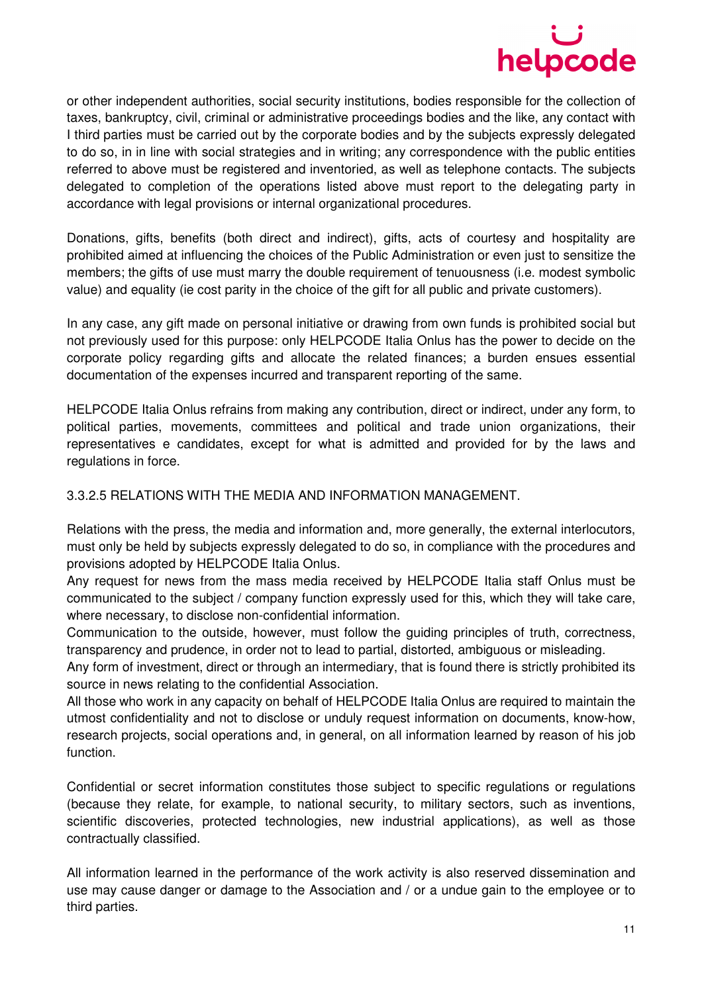

or other independent authorities, social security institutions, bodies responsible for the collection of taxes, bankruptcy, civil, criminal or administrative proceedings bodies and the like, any contact with I third parties must be carried out by the corporate bodies and by the subjects expressly delegated to do so, in in line with social strategies and in writing; any correspondence with the public entities referred to above must be registered and inventoried, as well as telephone contacts. The subjects delegated to completion of the operations listed above must report to the delegating party in accordance with legal provisions or internal organizational procedures.

Donations, gifts, benefits (both direct and indirect), gifts, acts of courtesy and hospitality are prohibited aimed at influencing the choices of the Public Administration or even just to sensitize the members; the gifts of use must marry the double requirement of tenuousness (i.e. modest symbolic value) and equality (ie cost parity in the choice of the gift for all public and private customers).

In any case, any gift made on personal initiative or drawing from own funds is prohibited social but not previously used for this purpose: only HELPCODE Italia Onlus has the power to decide on the corporate policy regarding gifts and allocate the related finances; a burden ensues essential documentation of the expenses incurred and transparent reporting of the same.

HELPCODE Italia Onlus refrains from making any contribution, direct or indirect, under any form, to political parties, movements, committees and political and trade union organizations, their representatives e candidates, except for what is admitted and provided for by the laws and regulations in force.

#### 3.3.2.5 RELATIONS WITH THE MEDIA AND INFORMATION MANAGEMENT.

Relations with the press, the media and information and, more generally, the external interlocutors, must only be held by subjects expressly delegated to do so, in compliance with the procedures and provisions adopted by HELPCODE Italia Onlus.

Any request for news from the mass media received by HELPCODE Italia staff Onlus must be communicated to the subject / company function expressly used for this, which they will take care, where necessary, to disclose non-confidential information.

Communication to the outside, however, must follow the guiding principles of truth, correctness, transparency and prudence, in order not to lead to partial, distorted, ambiguous or misleading.

Any form of investment, direct or through an intermediary, that is found there is strictly prohibited its source in news relating to the confidential Association.

All those who work in any capacity on behalf of HELPCODE Italia Onlus are required to maintain the utmost confidentiality and not to disclose or unduly request information on documents, know-how, research projects, social operations and, in general, on all information learned by reason of his job function.

Confidential or secret information constitutes those subject to specific regulations or regulations (because they relate, for example, to national security, to military sectors, such as inventions, scientific discoveries, protected technologies, new industrial applications), as well as those contractually classified.

All information learned in the performance of the work activity is also reserved dissemination and use may cause danger or damage to the Association and / or a undue gain to the employee or to third parties.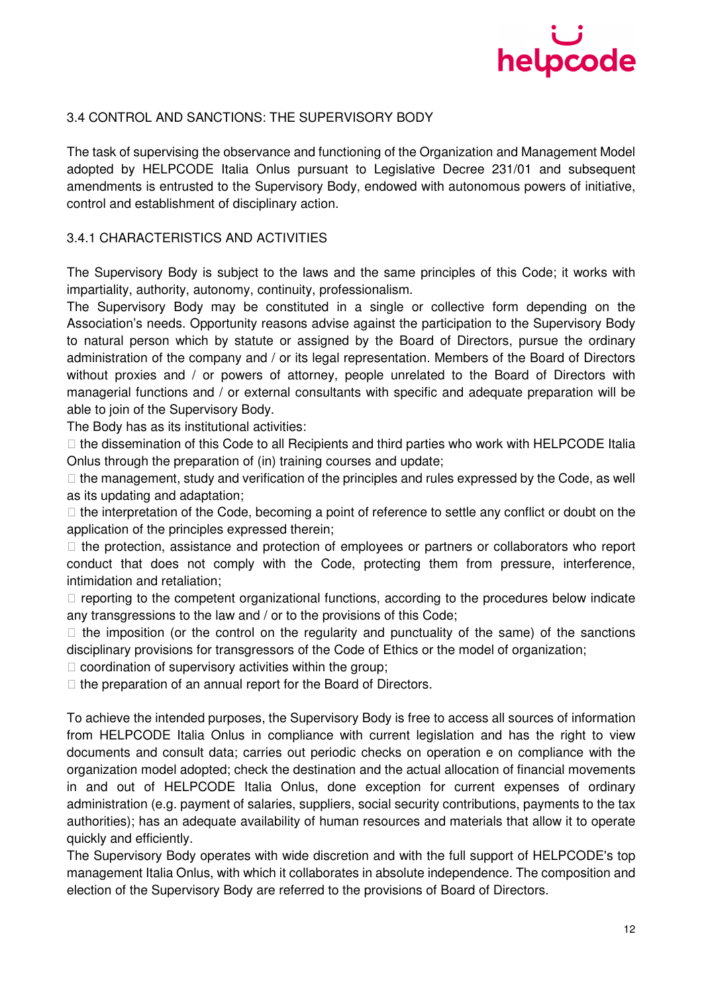

## 3.4 CONTROL AND SANCTIONS: THE SUPERVISORY BODY

The task of supervising the observance and functioning of the Organization and Management Model adopted by HELPCODE Italia Onlus pursuant to Legislative Decree 231/01 and subsequent amendments is entrusted to the Supervisory Body, endowed with autonomous powers of initiative, control and establishment of disciplinary action.

#### 3.4.1 CHARACTERISTICS AND ACTIVITIES

The Supervisory Body is subject to the laws and the same principles of this Code; it works with impartiality, authority, autonomy, continuity, professionalism.

The Supervisory Body may be constituted in a single or collective form depending on the Association's needs. Opportunity reasons advise against the participation to the Supervisory Body to natural person which by statute or assigned by the Board of Directors, pursue the ordinary administration of the company and / or its legal representation. Members of the Board of Directors without proxies and / or powers of attorney, people unrelated to the Board of Directors with managerial functions and / or external consultants with specific and adequate preparation will be able to join of the Supervisory Body.

The Body has as its institutional activities:

 the dissemination of this Code to all Recipients and third parties who work with HELPCODE Italia Onlus through the preparation of (in) training courses and update;

 the management, study and verification of the principles and rules expressed by the Code, as well as its updating and adaptation;

 the interpretation of the Code, becoming a point of reference to settle any conflict or doubt on the application of the principles expressed therein;

 the protection, assistance and protection of employees or partners or collaborators who report conduct that does not comply with the Code, protecting them from pressure, interference, intimidation and retaliation;

 reporting to the competent organizational functions, according to the procedures below indicate any transgressions to the law and / or to the provisions of this Code;

 the imposition (or the control on the regularity and punctuality of the same) of the sanctions disciplinary provisions for transgressors of the Code of Ethics or the model of organization;

coordination of supervisory activities within the group;

the preparation of an annual report for the Board of Directors.

To achieve the intended purposes, the Supervisory Body is free to access all sources of information from HELPCODE Italia Onlus in compliance with current legislation and has the right to view documents and consult data; carries out periodic checks on operation e on compliance with the organization model adopted; check the destination and the actual allocation of financial movements in and out of HELPCODE Italia Onlus, done exception for current expenses of ordinary administration (e.g. payment of salaries, suppliers, social security contributions, payments to the tax authorities); has an adequate availability of human resources and materials that allow it to operate quickly and efficiently.

The Supervisory Body operates with wide discretion and with the full support of HELPCODE's top management Italia Onlus, with which it collaborates in absolute independence. The composition and election of the Supervisory Body are referred to the provisions of Board of Directors.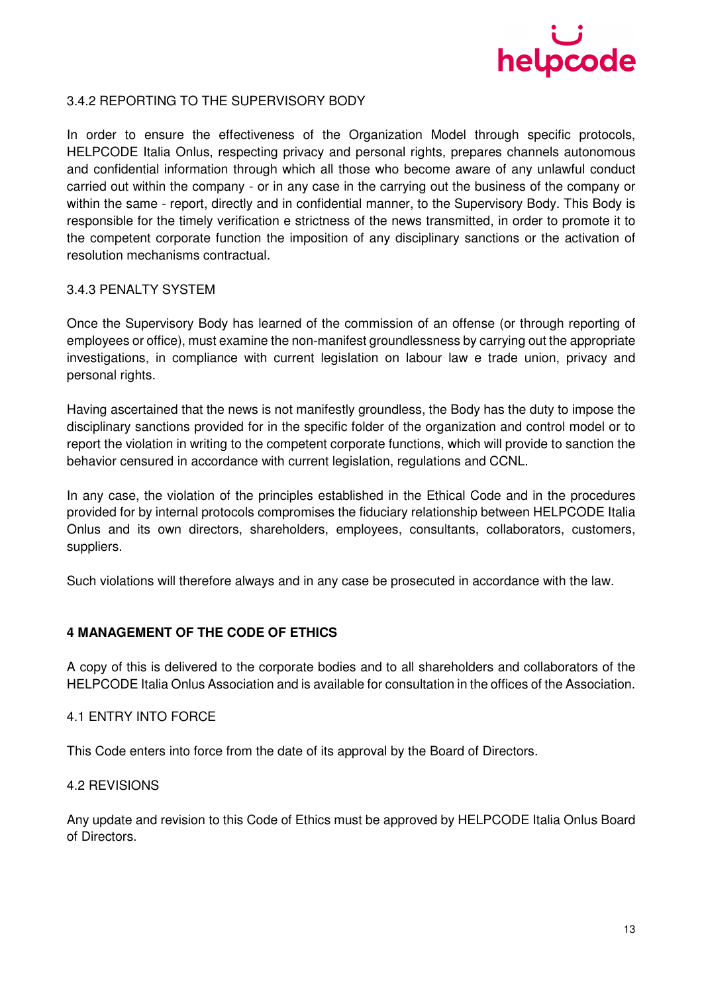

## 3.4.2 REPORTING TO THE SUPERVISORY BODY

In order to ensure the effectiveness of the Organization Model through specific protocols, HELPCODE Italia Onlus, respecting privacy and personal rights, prepares channels autonomous and confidential information through which all those who become aware of any unlawful conduct carried out within the company - or in any case in the carrying out the business of the company or within the same - report, directly and in confidential manner, to the Supervisory Body. This Body is responsible for the timely verification e strictness of the news transmitted, in order to promote it to the competent corporate function the imposition of any disciplinary sanctions or the activation of resolution mechanisms contractual.

#### 3.4.3 PENALTY SYSTEM

Once the Supervisory Body has learned of the commission of an offense (or through reporting of employees or office), must examine the non-manifest groundlessness by carrying out the appropriate investigations, in compliance with current legislation on labour law e trade union, privacy and personal rights.

Having ascertained that the news is not manifestly groundless, the Body has the duty to impose the disciplinary sanctions provided for in the specific folder of the organization and control model or to report the violation in writing to the competent corporate functions, which will provide to sanction the behavior censured in accordance with current legislation, regulations and CCNL.

In any case, the violation of the principles established in the Ethical Code and in the procedures provided for by internal protocols compromises the fiduciary relationship between HELPCODE Italia Onlus and its own directors, shareholders, employees, consultants, collaborators, customers, suppliers.

Such violations will therefore always and in any case be prosecuted in accordance with the law.

#### **4 MANAGEMENT OF THE CODE OF ETHICS**

A copy of this is delivered to the corporate bodies and to all shareholders and collaborators of the HELPCODE Italia Onlus Association and is available for consultation in the offices of the Association.

### 4.1 ENTRY INTO FORCE

This Code enters into force from the date of its approval by the Board of Directors.

#### 4.2 REVISIONS

Any update and revision to this Code of Ethics must be approved by HELPCODE Italia Onlus Board of Directors.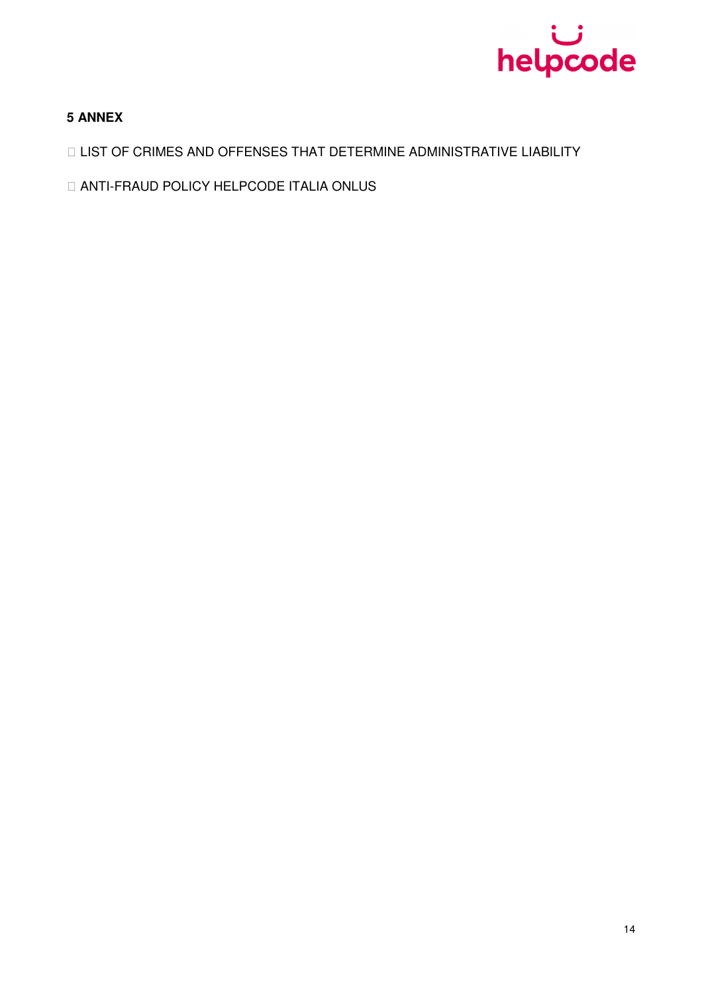

## **5 ANNEX**

LIST OF CRIMES AND OFFENSES THAT DETERMINE ADMINISTRATIVE LIABILITY

ANTI-FRAUD POLICY HELPCODE ITALIA ONLUS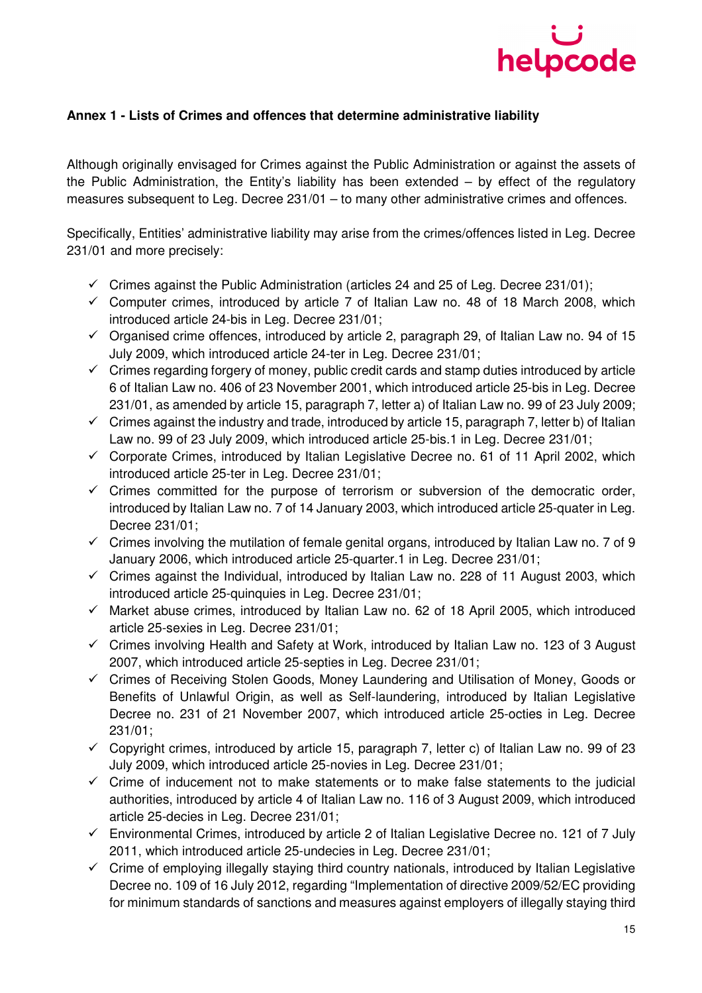

## **Annex 1 - Lists of Crimes and offences that determine administrative liability**

Although originally envisaged for Crimes against the Public Administration or against the assets of the Public Administration, the Entity's liability has been extended – by effect of the regulatory measures subsequent to Leg. Decree 231/01 – to many other administrative crimes and offences.

Specifically, Entities' administrative liability may arise from the crimes/offences listed in Leg. Decree 231/01 and more precisely:

- $\checkmark$  Crimes against the Public Administration (articles 24 and 25 of Leg. Decree 231/01);
- $\checkmark$  Computer crimes, introduced by article 7 of Italian Law no. 48 of 18 March 2008, which introduced article 24-bis in Leg. Decree 231/01;
- $\checkmark$  Organised crime offences, introduced by article 2, paragraph 29, of Italian Law no. 94 of 15 July 2009, which introduced article 24-ter in Leg. Decree 231/01;
- $\checkmark$  Crimes regarding forgery of money, public credit cards and stamp duties introduced by article 6 of Italian Law no. 406 of 23 November 2001, which introduced article 25-bis in Leg. Decree 231/01, as amended by article 15, paragraph 7, letter a) of Italian Law no. 99 of 23 July 2009;
- $\checkmark$  Crimes against the industry and trade, introduced by article 15, paragraph 7, letter b) of Italian Law no. 99 of 23 July 2009, which introduced article 25-bis.1 in Leg. Decree 231/01;
- $\checkmark$  Corporate Crimes, introduced by Italian Legislative Decree no. 61 of 11 April 2002, which introduced article 25-ter in Leg. Decree 231/01;
- $\checkmark$  Crimes committed for the purpose of terrorism or subversion of the democratic order, introduced by Italian Law no. 7 of 14 January 2003, which introduced article 25-quater in Leg. Decree 231/01;
- $\checkmark$  Crimes involving the mutilation of female genital organs, introduced by Italian Law no. 7 of 9 January 2006, which introduced article 25-quarter.1 in Leg. Decree 231/01;
- $\checkmark$  Crimes against the Individual, introduced by Italian Law no. 228 of 11 August 2003, which introduced article 25-quinquies in Leg. Decree 231/01;
- $\checkmark$  Market abuse crimes, introduced by Italian Law no. 62 of 18 April 2005, which introduced article 25-sexies in Leg. Decree 231/01;
- $\checkmark$  Crimes involving Health and Safety at Work, introduced by Italian Law no. 123 of 3 August 2007, which introduced article 25-septies in Leg. Decree 231/01;
- Crimes of Receiving Stolen Goods, Money Laundering and Utilisation of Money, Goods or Benefits of Unlawful Origin, as well as Self-laundering, introduced by Italian Legislative Decree no. 231 of 21 November 2007, which introduced article 25-octies in Leg. Decree 231/01;
- $\checkmark$  Copyright crimes, introduced by article 15, paragraph 7, letter c) of Italian Law no. 99 of 23 July 2009, which introduced article 25-novies in Leg. Decree 231/01;
- $\checkmark$  Crime of inducement not to make statements or to make false statements to the judicial authorities, introduced by article 4 of Italian Law no. 116 of 3 August 2009, which introduced article 25-decies in Leg. Decree 231/01;
- $\checkmark$  Environmental Crimes, introduced by article 2 of Italian Legislative Decree no. 121 of 7 July 2011, which introduced article 25-undecies in Leg. Decree 231/01;
- $\checkmark$  Crime of employing illegally staying third country nationals, introduced by Italian Legislative Decree no. 109 of 16 July 2012, regarding "Implementation of directive 2009/52/EC providing for minimum standards of sanctions and measures against employers of illegally staying third